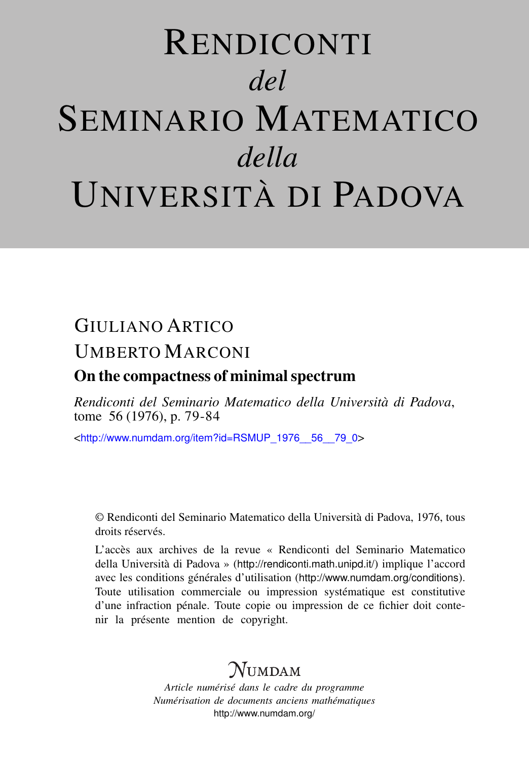# RENDICONTI *del* SEMINARIO MATEMATICO *della* UNIVERSITÀ DI PADOVA

# GIULIANO ARTICO UMBERTO MARCONI

## On the compactness of minimal spectrum

*Rendiconti del Seminario Matematico della Università di Padova*, tome 56 (1976), p. 79-84

<[http://www.numdam.org/item?id=RSMUP\\_1976\\_\\_56\\_\\_79\\_0](http://www.numdam.org/item?id=RSMUP_1976__56__79_0)>

© Rendiconti del Seminario Matematico della Università di Padova, 1976, tous droits réservés.

L'accès aux archives de la revue « Rendiconti del Seminario Matematico della Università di Padova » (<http://rendiconti.math.unipd.it/>) implique l'accord avec les conditions générales d'utilisation (<http://www.numdam.org/conditions>). Toute utilisation commerciale ou impression systématique est constitutive d'une infraction pénale. Toute copie ou impression de ce fichier doit contenir la présente mention de copyright.

# $\mathcal{N}$ umdam

*Article numérisé dans le cadre du programme Numérisation de documents anciens mathématiques* <http://www.numdam.org/>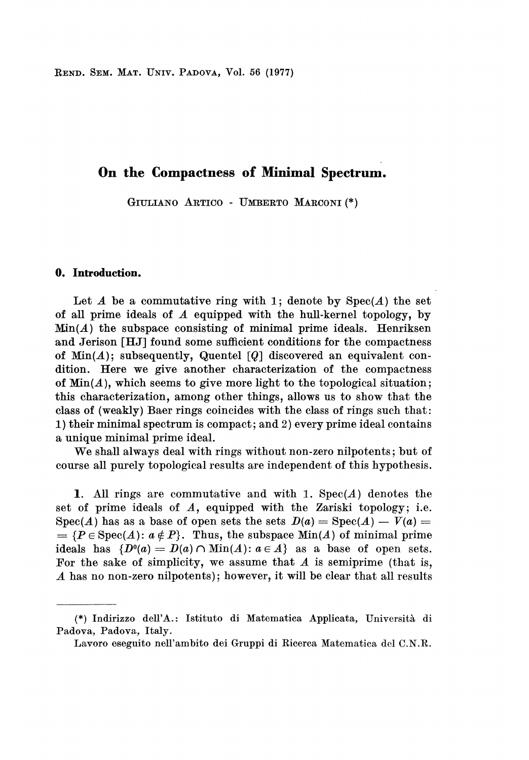REND. SEM. MAT. UNIV. PADOVA, Vol. 56 (1977)

### On the Compactness of Minimal Spectrum.

GIULIANO ARTICO - UMBERTO MARCONI (\*)

### 0. Introduction.

Let  $A$  be a commutative ring with 1; denote by  $Spec(A)$  the set of all prime ideals of  $A$  equipped with the hull-kernel topology, by  $Min(A)$  the subspace consisting of minimal prime ideals. Henriksen and Jerison [HJ] found some sufficient conditions for the compactness of  $Min(A)$ ; subsequently, Quentel [Q] discovered an equivalent condition. Here we give another characterization of the compactness of  $Min(A)$ , which seems to give more light to the topological situation; this characterization, among other things, allows us to show that the class of (weakly) Baer rings coincides with the class of rings such that: 1) their minimal spectrum is compact; and 2) every prime ideal contains a unique minimal prime ideal.

We shall always deal with rings without non-zero nilpotents; but of course all purely topological results are independent of this hypothesis.

1. All rings are commutative and with 1.  $Spec(A)$  denotes the set of prime ideals of A, equipped with the Zariski topology; i.e. Spec(A) has as a base of open sets the sets  $D(a) = \text{Spec}(A) - V(a) =$  $= {P \in \text{Spec}(A) : a \notin P}$ . Thus, the subspace  $\text{Min}(A)$  of minimal prime ideals has  $\{D^0(a) = D(a) \cap \text{Min}(A) : a \in A\}$  as a base of open sets. For the sake of simplicity, we assume that  $A$  is semiprime (that is, A has no non-zero nilpotents); however, it will be clear that all results

<sup>(\*)</sup> Indirizzo dell'A.: Istituto di Matematica Applicata, Università di Padova, Padova, Italy.

Lavoro eseguito nell'ambito dei Gruppi di Ricerca Matematica del C.N.R.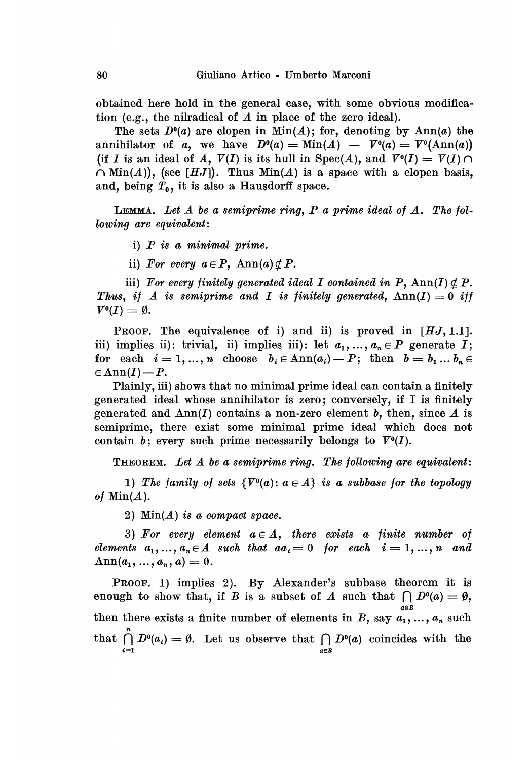obtained here hold in the general case, with some obvious modification (e.g., the nilradical of A in place of the zero ideal).

The sets  $D<sup>0</sup>(a)$  are clopen in Min(A); for, denoting by Ann(a) the annihilator of a, we have  $D^{0}(a) = Min(A) - V^{0}(a) = V^{0}(Ann(a))$ (if I is an ideal of A,  $V(I)$  is its hull in  $Spec(A)$ , and  $V^0(I) = V(I) \cap$  $\cap$  Min(A)), (see [HJ]). Thus Min(A) is a space with a clopen basis, and, being  $T_0$ , it is also a Hausdorff space.

LEMMA. Let  $A$  be a semiprime ring,  $P$  a prime ideal of  $A$ . The following are equivalent:

- i)  $P$  is a minimal prime.
- ii) For every  $a \in P$ ,  $\text{Ann}(a) \nsubseteq P$ .

iii) For every finitely generated ideal I contained in P,  $\text{Ann}(I) \not\subseteq P$ . Thus, if A is semiprime and I is finitely generated,  $\text{Ann}(I) = 0$  iff  $V^0(I) = \emptyset.$ 

**PROOF.** The equivalence of i) and ii) is proved in  $[HJ,1.1]$ . iii) implies ii): trivial, ii) implies iii): let  $a_1, ..., a_n \in P$  generate I; for each  $i = 1, ..., n$  choose  $b_i \in Ann(a_i) - P;$  then  $b = b_1 ... b_n \in$  $\in \text{Ann}(I) - P$ .

Plainly, iii) shows that no minimal prime ideal can contain a finitely generated ideal whose annihilator is zero; conversely, if I is finitely generated and  $\text{Ann}(I)$  contains a non-zero element b, then, since A is semiprime, there exist some minimal prime ideal which does not contain b; every such prime necessarily belongs to  $V^0(I)$ .

THEOREM. Let A be a semiprime ring. The following are equivalent:

1) The family of sets  $\{V^0(a): a \in A\}$  is a subbase for the topology of  $Min(A)$ .

2)  $Min(A)$  is a compact space.

3) For every element  $a \in A$ , there exists a finite number of elements  $a_1, ..., a_n \in A$  such that  $aa_i = 0$  for each  $i = 1, ..., n$  and  $\text{Ann}(a_1, ..., a_n, a) = 0.$ 

PROOF. 1) implies 2). By Alexander's subbase theorem it is enough to show that, if B is a subset of A such that  $\bigcap D^0(a) = \emptyset$ , then there exists a finite number of elements in B, say  $a_1, ..., a_n$  such that  $\bigcap_{i=1}^n D^0(a_i) = \emptyset$ . Let us observe that  $\bigcap_{a \in B} D^0(a)$  coincides with the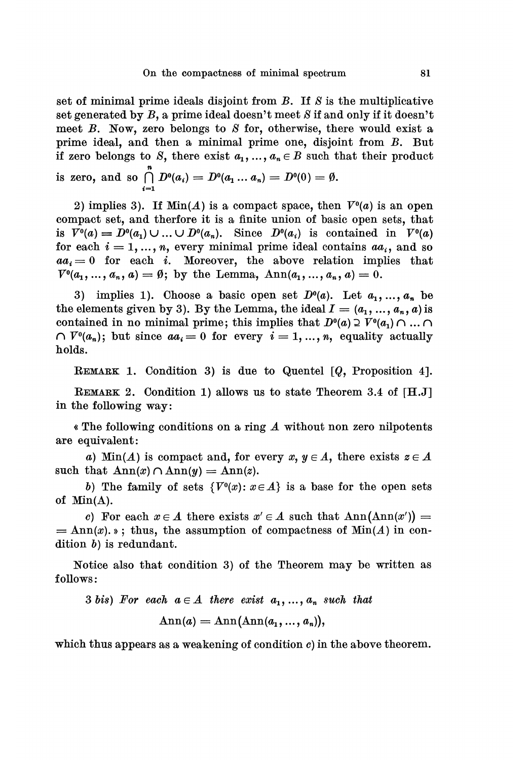set of minimal prime ideals disjoint from  $B$ . If  $S$  is the multiplicative set generated by  $B$ , a prime ideal doesn't meet S if and only if it doesn't meet B. Now, zero belongs to S for, otherwise, there would exist a prime ideal, and then a minimal prime one, disjoint from B. But if zero belongs to S, there exist  $a_1, ..., a_n \in B$  such that their product is zero, and so  $\bigcap_{i=1}^{n} D^{0}(a_{i}) = D^{0}(a_{1} ... a_{n}) = D^{0}(0) = \emptyset.$ 

2) implies 3). If  $Min(A)$  is a compact space, then  $V^0(a)$  is an open compact set, and therfore it is a finite union of basic open sets, that is  $V^0(a) = D^0(a_1) \cup ... \cup D^0(a_n)$ . Since  $D^0(a_i)$  is contained in  $V^0(a)$ for each  $i = 1, ..., n$ , every minimal prime ideal contains  $aa_i$ , and so  $aa_i = 0$  for each i. Moreover, the above relation implies that  $V^0(a_1, ..., a_n, a) = \emptyset$ ; by the Lemma,  $Ann(a_1, ..., a_n, a) = 0$ .

3) implies 1). Choose a basic open set  $D<sup>0</sup>(a)$ . Let  $a_1, ..., a_n$  be the elements given by 3). By the Lemma, the ideal  $I = (a_1, ..., a_n, a)$  is contained in no minimal prime; this implies that  $D^0(a) \supseteq V^0(a_1) \cap ... \cap I$  $\cap V^0(a_n)$ ; but since  $aa_i = 0$  for every  $i = 1, ..., n$ , equality actually holds.

REMARK 1. Condition 3) is due to Quentel  $[Q,$  Proposition 4].

REMARK 2. Condition 1) allows us to state Theorem 3.4 of [H.J] in the following way:

« The following conditions on a ring A without non zero nilpotents are equivalent:

a) Min(A) is compact and, for every  $x, y \in A$ , there exists  $z \in A$ such that  $\text{Ann}(x) \cap \text{Ann}(y) = \text{Ann}(z)$ .

b) The family of sets  $\{V^0(x): x \in A\}$  is a base for the open sets of  $Min(A)$ .

c) For each  $x \in A$  there exists  $x' \in A$  such that  $Ann(\text{Ann}(x')) =$  $=\text{Ann}(x)$ , is, thus, the assumption of compactness of Min(A) in condition b) is redundant.

Notice also that condition 3) of the Theorem may be written as follows:

3 bis) For each  $a \in A$  there exist  $a_1, ..., a_n$  such that  $\text{Ann}(a) = \text{Ann}(\text{Ann}(a_1, \ldots, a_n)),$ 

which thus appears as a weakening of condition  $c$ ) in the above theorem.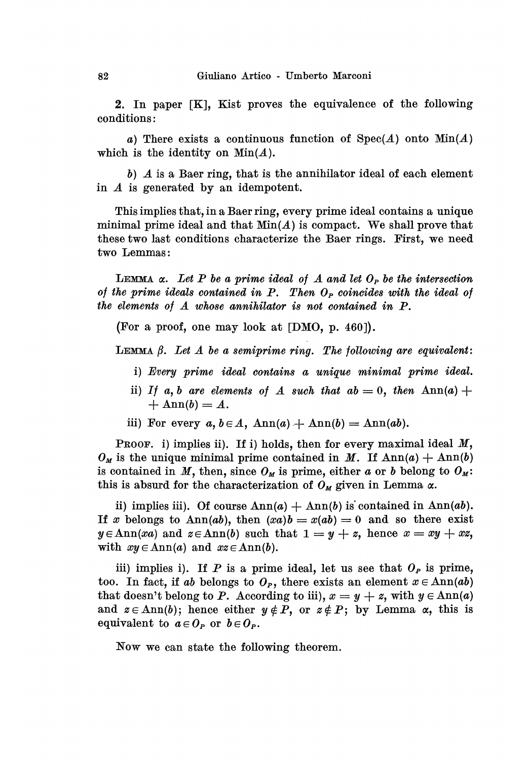2. In paper [K], Kist proves the equivalence of the following conditions:

a) There exists a continuous function of  $Spec(A)$  onto  $Min(A)$ which is the identity on  $Min(A)$ .

b) A is a Baer ring, that is the annihilator ideal of each element in A is generated by an idempotent.

This implies that, in a Baer ring, every prime ideal contains a unique minimal prime ideal and that  $Min(A)$  is compact. We shall prove that these two last conditions characterize the Baer rings. First, we need two Lemmas:

LEMMA  $\alpha$ . Let P be a prime ideal of A and let  $O_P$  be the intersection of the prime ideals contained in  $P$ . Then  $O_P$  coincides with the ideal of the elements of A whose annihilator is not contained in P.

(For a proof, one may look at [DMO, p. 460]).

LEMMA  $\beta$ . Let  $\Lambda$  be a semiprime ring. The following are equivalent:

- i) Every prime ideal contains a unique minimal prime ideal.
- ii) If a, b are elements of A such that  $ab = 0$ , then  $\text{Ann}(a)$  +  $+\text{Ann}(b) = A.$
- iii) For every  $a, b \in A$ ,  $\text{Ann}(a) + \text{Ann}(b) = \text{Ann}(ab)$ .

PROOF, i) implies ii). If i) holds, then for every maximal ideal  $M$ ,  $O_M$  is the unique minimal prime contained in M. If  $\text{Ann}(a) + \text{Ann}(b)$ is contained in M, then, since  $O_M$  is prime, either a or b belong to  $O_M$ : this is absurd for the characterization of  $O_M$  given in Lemma  $\alpha$ .

ii) implies iii). Of course  $\text{Ann}(a) + \text{Ann}(b)$  is contained in  $\text{Ann}(ab)$ . If x belongs to Ann(ab), then  $(xa)b = x(ab) = 0$  and so there exist  $y \in \text{Ann}(xa)$  and  $z \in \text{Ann}(b)$  such that  $1 = y + z$ , hence  $x = xy + xz$ , with  $xy \in \text{Ann}(a)$  and  $xz \in \text{Ann}(b)$ .

iii) implies i). If P is a prime ideal, let us see that  $O_P$  is prime, too. In fact, if ab belongs to  $O_P$ , there exists an element  $x \in Ann(ab)$ that doesn't belong to P. According to iii),  $x = y + z$ , with  $y \in Ann(a)$ and  $z \in \text{Ann}(b)$ ; hence either  $y \notin P$ , or  $z \notin P$ ; by Lemma  $\alpha$ , this is equivalent to  $a \in O_P$  or  $b \in O_P$ .

Now we can state the following theorem.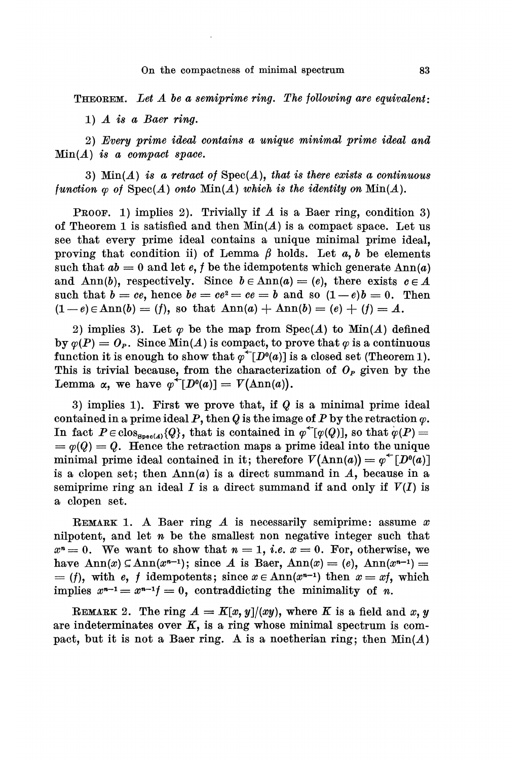#### On the compactness of minimal spectrum

THEOREM. Let  $A$  be a semiprime ring. The following are equivalent:

1)  $\Lambda$  is a Baer ring.

 $2)$  Every prime ideal contains a unique minimal prime ideal and  $Min(A)$  is a compact space.

3)  $\text{Min}(A)$  is a retract of  $\text{Spec}(A)$ , that is there exists a continuous function  $\varphi$  of  $Spec(A)$  onto  $Min(A)$  which is the identity on  $Min(A)$ .

PROOF. 1) implies 2). Trivially if A is a Baer ring, condition 3) of Theorem 1 is satisfied and then  $Min(A)$  is a compact space. Let us see that every prime ideal contains a unique minimal prime ideal, proving that condition ii) of Lemma  $\beta$  holds. Let a, b be elements such that  $ab = 0$  and let e, f be the idempotents which generate  $\text{Ann}(a)$ and Ann(b), respectively. Since  $b \in \text{Ann}(a) = (e)$ , there exists  $c \in A$ such that  $b = ce$ , hence  $be = ce^2 = ce = b$  and so  $(1-e)b = 0$ . Then  $(1-e) \in Ann(b) = (f)$ , so that  $Ann(a) + Ann(b) = (e) + (f) = A$ .

2) implies 3). Let  $\varphi$  be the map from Spec(A) to Min(A) defined by  $\varphi(P) = O_P$ . Since Min(A) is compact, to prove that  $\varphi$  is a continuous function it is enough to show that  $\varphi^{\leftarrow}[D^0(a)]$  is a closed set (Theorem 1). This is trivial because, from the characterization of  $O<sub>P</sub>$  given by the Lemma  $\alpha$ , we have  $\varphi^+[D^0(a)] = V(\text{Ann}(a)).$ 

3) implies 1). First we prove that, if  $Q$  is a minimal prime ideal contained in a prime ideal P, then Q is the image of P by the retraction  $\varphi$ . In fact  $P \in \text{clos}_{\text{Spec}(A)}(Q)$ , that is contained in  $\varphi^{\leftarrow}[\varphi(Q)]$ , so that  $\varphi(P) =$  $= \varphi(Q) = Q$ . Hence the retraction maps a prime ideal into the unique minimal prime ideal contained in it; therefore  $V(\text{Ann}(a)) = \varphi^{\text{th}}[D^0(a)]$ is a clopen set; then  $Ann(a)$  is a direct summand in  $A$ , because in a semiprime ring an ideal I is a direct summand if and only if  $V(I)$  is a clopen set.

REMARK 1. A Baer ring A is necessarily semiprime: assume  $x$ nilpotent, and let n be the smallest non negative integer such that  $x^n = 0$ . We want to show that  $n = 1$ , *i.e.*  $x = 0$ . For, otherwise, we have  $\text{Ann}(x) \subseteq \text{Ann}(x^{n-1})$ ; since A is Baer,  $\text{Ann}(x) = (e)$ ,  $\text{Ann}(x^{n-1}) =$  $= ( f ),$  with e, f idempotents; since  $x \in \text{Ann}(x^{n-1})$  then  $x = xf$ , which implies  $x^{n-1} = x^{n-1}f = 0$ , contraddicting the minimality of n.

REMARK 2. The ring  $A = K[x, y]/(xy)$ , where K is a field and x, y are indeterminates over  $K$ , is a ring whose minimal spectrum is compact, but it is not a Baer ring. A is a noetherian ring; then  $Min(A)$